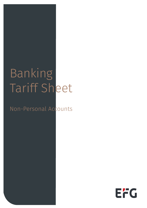# Banking Tariff Sheet

### Non-Personal Accounts

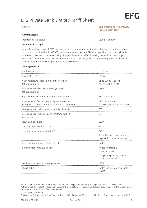### EFG Private Bank Limited Tariff Sheet

Service Corporate/Partnership/Trust/ Pension Client Tariff

#### Current Account

Maintaining the account **E500** per annum<sup>\*</sup>

#### Relationship Charge

Banking services

A supplementary charge of £300 per quarter will be payable on client relationships which continue to have less than a combined total £500,000 in Assets under Management (AUM) across all accounts held globally with EFG Private Bank. The Relationship Charge will come into effect following the expiry of the first year of a client's relationship with EFG Private Bank Limited. The charge will be processed quarterly in arrears if average AUM in the preceding quarter is below £500,000.

| Danning Scrivices                                                                                        |                                                                                                         |
|----------------------------------------------------------------------------------------------------------|---------------------------------------------------------------------------------------------------------|
| Audit Report                                                                                             | $£50 + VAT$                                                                                             |
| Postal Charge <sup>(6)</sup>                                                                             | £10pcm                                                                                                  |
| Cash withdrawal/deposit in pounds in the UK<br>(at our counters)                                         | Up to $£5,000 - No$ fee<br>Above £5,000 - 1.50%                                                         |
| Foreign currency cash withdrawal/deposit<br>(at our counters)                                            | 1.50%                                                                                                   |
| Cash withdrawal in foreign currency outside the UK                                                       | Not available                                                                                           |
| Arrangement of cash, cheque deposit and cash<br>withdrawal facilities, at a branch of a third party bank | £250 per annum<br>(Service only available in GBP)                                                       |
| Foreign currency cheque collection (i.e. deposit)                                                        | £50                                                                                                     |
| Foreign currency cheque payment (from sterling<br>chequebook)                                            | £50                                                                                                     |
| Issue Banker's draft                                                                                     | $f30**$                                                                                                 |
| Sending money within the UK                                                                              | $E40**$                                                                                                 |
| Sending money outside the UK <sup>(1)</sup>                                                              | $f40**$                                                                                                 |
|                                                                                                          | An additional charge may be<br>payable for some currencies <sup>(7)</sup>                               |
| Receiving money from outside the UK                                                                      | No fee                                                                                                  |
| Sending money via eBanking (1)                                                                           | No fee for sterling<br>EUR20 for Euros<br>Charges may be payable for<br>other currencies <sup>(7)</sup> |
| Debit card payment in a foreign currency                                                                 | 1.75%                                                                                                   |
| Direct debit                                                                                             | No fee (Service only available<br>in GBP)                                                               |

EFG Private Bank Limited is authorised by the Prudential Regulation Authority and regulated by the Financial Conduct Authority and the Prudential Regulation Authority (Financial Services Register No: 144036). It is a member of the London Stock Exchange and a subsidiary of EFG International.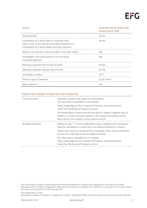

| <b>Service</b>                                                                                                                                                | Corporate/Partnership/Trust/<br><b>Pension Client Tariff</b> |
|---------------------------------------------------------------------------------------------------------------------------------------------------------------|--------------------------------------------------------------|
| Standing order                                                                                                                                                | No fee                                                       |
| Cancellation of a direct debit or standing order<br>(up to 17.00 on the business day before payment); or<br>cancellation of a future dated electronic payment | No fee                                                       |
| Recall of an electronic payment (after it has been made)                                                                                                      | F50                                                          |
| Investigation and amendment of an incorrectly<br>instructed payment                                                                                           | £50                                                          |
| Refusing a payment due to lack of funds                                                                                                                       | No fee                                                       |
| Allowing a payment despite lack of funds                                                                                                                      | No fee                                                       |
| Cancelling a cheque                                                                                                                                           | $f20**$                                                      |
| Historic copy of statement                                                                                                                                    | £2 per sheet                                                 |
| Bank reference <sup>(2)</sup>                                                                                                                                 | f <sub>20</sub>                                              |

#### Interest rates, Foreign Exchange rates and Custody Fees

| Generally, interest rates apply on a tiered basis.<br>Our rate sheet is available on our website:                                                                                                       |
|---------------------------------------------------------------------------------------------------------------------------------------------------------------------------------------------------------|
| https://www.efgl.com/Our-solutions/Products-and-services.html<br>Under the 'Banking and Treasury' section                                                                                               |
| EFG Private Bank Limited reserves the right to charge a negative rate of<br>interest on current accounts based on the relevant prevailing Central<br>Bank rate for the currency of the current account. |
| Reference rate $(3)$ + a fixed negotiated margin, charged to the overdrawn<br>balance, calculated on a daily basis and applied quarterly in arrears.                                                    |
| Please note that an arrangement fee may apply, which will be advised to<br>you prior to entering into the arranged overdraft.                                                                           |
| Our rate sheet is available on our website:<br>https://www.efgl.com/Our-solutions/Products-and-services.html<br>Under the 'Banking and Treasury' section                                                |
|                                                                                                                                                                                                         |

EFG Private Bank Limited is authorised by the Prudential Regulation Authority and regulated by the Financial Conduct Authority and the Prudential Regulation Authority (Financial Services Register No: 144036). It is a member of the London Stock Exchange and a subsidiary of EFG International.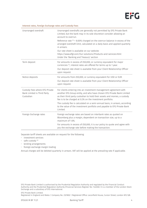

#### Interest rates, Foreign Exchange rates and Custody Fees

| Unarranged overdraft                                                       | Unarranged overdrafts are generally not permitted by EFG Private Bank<br>Limited, but the bank may in its sole discretion consider allowing an<br>account to overrun.<br>Reference rate $(3)$ + 8.00% charged on the overrun balance in excess of the<br>arranged overdraft limit, calculated on a daily basis and applied quarterly<br>in arrears.<br>Our rate sheet is available on our website:<br>https://www.efgl.com/Our-solutions/Products-and-services.html<br>Under the 'Banking and Treasury' section |
|----------------------------------------------------------------------------|-----------------------------------------------------------------------------------------------------------------------------------------------------------------------------------------------------------------------------------------------------------------------------------------------------------------------------------------------------------------------------------------------------------------------------------------------------------------------------------------------------------------|
| Term deposit                                                               | For amounts in excess of £50,000, or currency equivalent for major<br>currencies <sup>(4)</sup> , interest rates are offered for terms up to 1 year.<br>Our deposit rate sheet is available from your Client Relationship Officer<br>upon request.                                                                                                                                                                                                                                                              |
| Notice deposits                                                            | For amounts from £50,000, or currency equivalent for USD or EUR.<br>Our deposit rate sheet is available from your Client Relationship Officer<br>upon request.                                                                                                                                                                                                                                                                                                                                                  |
| Custody Fees where EFG Private<br>Bank Limited is Third Party<br>Custodian | For clients entering into an investment management agreement with<br>another EFG Group entity, and who have chosen EFG Private Bank Limited<br>as their third party custodian to hold their assets and monies, a custody<br>fee is to be charged at 0.2% on the investment portfolio.                                                                                                                                                                                                                           |
|                                                                            | The custody fee is calculated on a semi-annual basis, in arrears, according<br>to the value of the investment portfolio and payable to EFG Private Bank<br>Limited.                                                                                                                                                                                                                                                                                                                                             |
| Foreign Exchange rates                                                     | Foreign exchange rates are based on interbank rates as quoted on<br>Bloomberg plus a margin, dependent on transaction size, up to a<br>maximum of 1.6%.                                                                                                                                                                                                                                                                                                                                                         |
|                                                                            | For amounts in excess of £50,000, it is our policy to quote and agree with<br>you the exchange rate before making the transaction.                                                                                                                                                                                                                                                                                                                                                                              |

Separate tariff sheets are available on request for the following:

- investment services
- $\cdot$  safe custody  $(5)$
- lending arrangements
- foreign exchange margin trading

Annual charges will be debited quarterly in arrears. VAT will be applied at the prevailing rate if applicable.

EFG Private Bank Limited is authorised by the Prudential Regulation Authority and regulated by the Financial Conduct Authority and the Prudential Regulation Authority (Financial Services Register No: 144036). It is a member of the London Stock Exchange and a subsidiary of EFG International.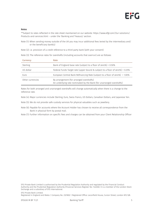#### Notes

\*\*Subject to rates reflected in the rate sheet maintained on our website: https://www.efgl.com/Our-solutions/ Products-and-services.html – under the 'Banking and Treasury' section.

- Note (1): When sending money outside of the UK you may incur additional fees levied by the intermediary and/ or the beneficiary bank(s)
- Note (2): i.e. provision of a credit reference to a third party bank (with your consent)

Note (3): The reference rates for overdrafts (including accounts that overrun) are as follows:

| <b>Currency</b>  | Rate                                                                                                             |
|------------------|------------------------------------------------------------------------------------------------------------------|
| Sterling         | Bank of England base rate (subject to a floor of zero%) + 0.50%                                                  |
| US dollar        | Federal Funds Target rate (upper bound & subject to a floor of zero%) + 0.25%                                    |
| Furo             | European Central Bank Refinancing Rate (subject to a floor of zero%) + 1.00%                                     |
| Other currencies | By arrangement (for arranged overdrafts)<br>An underlying rate nominated by the Bank (for unarranged overdrafts) |

Rates for both arranged and unarranged overdrafts will change automatically when there is a change to the reference rate.

- Note (4): Major currencies include Sterling, Euro, Swiss Francs, US Dollars, Canadian Dollars, and Japanese Yen.
- Note (5): We do not provide safe custody services for physical valuables such as jewellery.
- Note (6): Payable for accounts where the Account Holder has chosen to receive all correspondence from the Bank in physical form by postal mail.
- Note (7): Further information on specific fees and charges can be obtained from your Client Relationship Officer

EFG Private Bank Limited is authorised by the Prudential Regulation Authority and regulated by the Financial Conduct Authority and the Prudential Regulation Authority (Financial Services Register No: 144036). It is a member of the London Stock Exchange and a subsidiary of EFG International.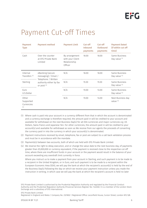### Payment Cut-off Times

| <b>Payment</b><br><b>Type</b>           | <b>Payment method</b>                                                    | <b>Payment Limit</b>                                          | Cut-off<br>Inbound<br>payments | Cut-off<br><b>Outbound</b><br>payments | <b>Payment Dated</b><br>(if within cut off<br>time) |
|-----------------------------------------|--------------------------------------------------------------------------|---------------------------------------------------------------|--------------------------------|----------------------------------------|-----------------------------------------------------|
| Cash                                    | Over the counter<br>at EFG Private Bank<br>Limited                       | By arrangement<br>with your Client<br>Relationship<br>Officer | 16:00                          | 16:00                                  | Same Business<br>Day value (1)                      |
| Internal<br>Transfers <sup>(3)</sup>    | eBanking (secure<br>messaging) / Email /                                 | N/A                                                           | 16:00                          | 16:00                                  | Same Business<br>Day value (4)                      |
| Sterling                                | Telephone / Written<br>authority either by fax<br>or post <sup>(2)</sup> | N/A                                                           | 15:30                          | 15:30                                  | Same Business<br>Day value (4)                      |
| Euro<br>U.S.Dollar                      |                                                                          | N/A                                                           | 15:00                          | 14:00                                  | Same Business<br>Day value (4)                      |
| Other<br>Supported<br>Currencies<br>(5) |                                                                          | N/A                                                           | 15:00                          | 14:00                                  | Next Business day<br>value $(4)$                    |

- (1) Where cash is paid into your account in a currency different from that in which the account is denominated and a currency exchange is therefore required, the amount paid in will be credited to your account and available for withdrawal on the next Business Day(s) for all EEA currencies and major currencies e.g. US Dollars, Swiss Francs and Japanese Yen. For other currencies, the amount paid in will be credited to your account(s) and available for withdrawal as soon as We receive from our agents the proceeds of converting the currency paid in into the currency in which your account(s) is denominated.
- (2) Payment instructions received by email, telephone, fax or post are subject to a call back validation process and must be in accordance with the mandate.
- (3) Payments(s) between two accounts, both of which are held with EFG Private Bank Limited.
- (4) We reserve the right to delay execution, and or change the value date to the next business day, of payments greater than £5,000,000 or currency equivalent, if the payment is received close to the respective cut-off time, where there are insufficient funds in your account or the payment would result in the balance of your account exceeding any overdraft limit currently in force.

Where you instruct us to make a payment from your account in Sterling, and such payment is to be made to a recipient in the United Kingdom, or in Euro, and such payment is to be made to a recipient within the European Economic Area (EEA), we will pay the bank at which the recipient's account(s) is held by the end of the Business Day(s) following the day on which we receive your payment instruction unless you made the instruction in writing, in which case we will pay the bank at which the recipient's account is held no later

EFG Private Bank Limited is authorised by the Prudential Regulation Authority and regulated by the Financial Conduct Authority and the Prudential Regulation Authority (Financial Services Register No: 144036). It is a member of the London Stock Exchange and a subsidiary of EFG International.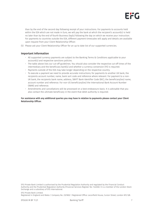

than by the end of the second day following receipt of your instructions. For payments to accounts held within the EEA which are not made in Euro, we will pay the bank at which the recipient's account(s) is held no later than by the end of fourth Business Day(s) following the day on which we receive your instruction. For payments to countries outside the EEA, different payment timescales will apply and details are available upon request from your Client Relationship Officer.

(5) Please ask your Client Relationship Officer for an up to date list of our supported currencies.

#### Important Information

- All supported currency payments are subject to the Banking Terms & Conditions applicable to your account(s) and respective sanctions policies.
- The table above lists our cut-off guidelines. You should also consider the respective cut-off times of the intermediary and the beneficiary bank(s) and whether a currency conversion (FX) is required.
- Payments outside of the EEA may take longer depending on the respective country.
- To execute a payment we need to provide accurate instructions; for payments to another UK bank, the recipients account number, name, bank sort code and reference where relevant. For payment to a non-UK bank, the recipients bank name, address, SWIFT Bank Identifier Code (BIC), the beneficiary(ies) name, account number and reference. For non-US beneficiary(ies) the International Bank Account Number (IBAN) and reference.
- Amendments and cancellations will be processed on a best endeavours basis. It is advisable that you also contact the ultimate beneficiary in the event that debit authority is required.

For assistance with any additional queries you may have in relation to payments please contact your Client Relationship Officer.

EFG Private Bank Limited is authorised by the Prudential Regulation Authority and regulated by the Financial Conduct Authority and the Prudential Regulation Authority (Financial Services Register No: 144036). It is a member of the London Stock Exchange and a subsidiary of EFG International.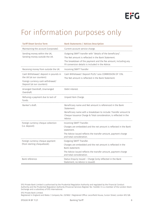## For information purposes only

| <b>Tariff Sheet Service Term</b>                                                                                                      | <b>Bank Statements / Advices Description</b>                                                                                                                                                                                           |
|---------------------------------------------------------------------------------------------------------------------------------------|----------------------------------------------------------------------------------------------------------------------------------------------------------------------------------------------------------------------------------------|
| Maintaining the account (corporate).                                                                                                  | Current account service charge.                                                                                                                                                                                                        |
| Sending money within the UK,<br>Sending money outside the UK.                                                                         | Outgoing SWIFT transfer with "details of the beneficiary".<br>The Net amount is reflected in the Bank Statement.<br>The breakdown of the payment and the fee amount, including any<br>FX conversion details is included in the Advice. |
| Receiving money from outside the UK.                                                                                                  | Incoming SWIFT Transfer                                                                                                                                                                                                                |
| Cash Withdrawal/ deposit in pounds in<br>the UK (at our counters).<br>Foreign currency cash withdrawal/<br>Deposit (at our counters). | Cash Withdrawal/ Deposit PLUS/ Less COMMISSION OF 1.5%.<br>The Net amount is reflected in the Bank Statement.                                                                                                                          |
| Arranged Overdraft, Unarranged<br>Overdraft.                                                                                          | Debit interest.                                                                                                                                                                                                                        |
| Refusing a payment due to lack of<br>funds.                                                                                           | Unpaid Item Charge.                                                                                                                                                                                                                    |
| Banker's draft.                                                                                                                       | Beneficiary name and Net amount is referenced in the Bank<br>Statement.<br>Beneficiary name with a breakdown to include: Transfer amount &<br>Cheque Issuance Charge & Total consideration, is reflected in the<br>Advice.             |
| Foreign currency cheque collection<br>(i.e. deposit).                                                                                 | Incoming SWIFT Transfer.<br>Charges are embedded and the net amount is reflected in the Bank<br>statement.<br>The Advice issued reflects the transfer amount, payment charge<br>and total consideration.                               |
| Foreign currency cheque payment<br>(from sterling chequebook).                                                                        | Outgoing SWIFT Transfer.<br>Charges are embedded and the net amount is reflected in the<br>Bank statement.<br>The Advice issued reflects the transfer amount, payment charge<br>and total consideration.                               |
| Bank reference.                                                                                                                       | Status Enquiry Issued - Charge (only reflected in the Bank<br>Statement, no Advice is issued).                                                                                                                                         |

EFG Private Bank Limited is authorised by the Prudential Regulation Authority and regulated by the Financial Conduct Authority and the Prudential Regulation Authority (Financial Services Register No: 144036). It is a member of the London Stock Exchange and a subsidiary of EFG International.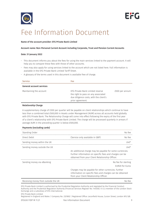



### Fee Information Document

#### Name of the account provider: EFG Private Bank Limited

#### Account name: Non-Personal Current Account including Corporate, Trust and Pension Current Accounts

#### Date: 31 January 2022

- This document informs you about the fees for using the main services linked to the payment account. It will help you to compare these fees with those of other accounts.
- Fees may also apply for using services linked to the account which are not listed here. Full information is available in the EFG Private Bank Limited Tariff Sheet.
- A glossary of the terms used in this document is available free of charge.

| <b>Service</b>                  | Fee                                                                                                                                   |                |
|---------------------------------|---------------------------------------------------------------------------------------------------------------------------------------|----------------|
| <b>General account services</b> |                                                                                                                                       |                |
| Maintaining the account         | EFG Private Bank Limited reserve<br>the right to pass on any associated<br>due diligence costs, with the client's<br>prior agreement. | £500 per annum |

#### Relationship Charge

A supplementary charge of £300 per quarter will be payable on client relationships which continue to have less than a combined total £500,000 in Assets under Management (AUM) across all accounts held globally with EFG Private Bank. The Relationship Charge will come into effect following the expiry of the first year of a client's relationship with EFG Private Bank Limited. The charge will be processed quarterly in arrears if average AUM in the preceding quarter is below £500,000.

| <b>Payments (excluding cards)</b> |  |  |
|-----------------------------------|--|--|
|-----------------------------------|--|--|

| Standing Order               |                                                                                                                                                                        | No tee                 |
|------------------------------|------------------------------------------------------------------------------------------------------------------------------------------------------------------------|------------------------|
| Direct Debit                 | (Service only available in GBP)                                                                                                                                        | No fee                 |
| Sending money within the UK  |                                                                                                                                                                        | $f40*$                 |
| Sending money outside the UK |                                                                                                                                                                        | $f40*$                 |
|                              | An additional charge may be payable for some currencies.<br>Further information on specific fees and charges can be<br>obtained from your Client Relationship Officer. |                        |
| Sending money via eBanking   |                                                                                                                                                                        | No fee for sterling    |
|                              |                                                                                                                                                                        | <b>FUR20 for Furos</b> |
|                              | Charges may be payable for other currencies. Further<br>information on specific fees and charges can be obtained<br>from your Client Relationship Officer.             |                        |

Receiving money from outside the UK No fee example of the UK No fee example of the UK No fee example of the UK

EFG Private Bank Limited is authorised by the Prudential Regulation Authority and regulated by the Financial Conduct Authority and the Prudential Regulation Authority (Financial Services Register No: 144036). It is a member of the London Stock Exchange and a subsidiary of EFG International.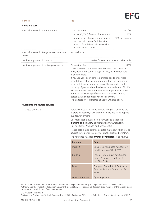| <b>Service</b>                                        | <b>Fee</b>                                                                                                                   |                                                                                     |                |
|-------------------------------------------------------|------------------------------------------------------------------------------------------------------------------------------|-------------------------------------------------------------------------------------|----------------|
| Cards and cash                                        |                                                                                                                              |                                                                                     |                |
| Cash withdrawal in pounds in the UK                   | $\cdot$ Up to £5,000                                                                                                         |                                                                                     | No fee         |
|                                                       | Above £5,000 (of transaction amount)                                                                                         |                                                                                     | 1.50%          |
|                                                       | Arrangement of cash, cheque deposit<br>and cash withdrawal facilities, at a<br>branch of a third-party bank (service         |                                                                                     | £250 per annum |
|                                                       | only available in GBP)                                                                                                       |                                                                                     |                |
| Cash withdrawal in foreign currency outside<br>the UK | Not Available                                                                                                                |                                                                                     |                |
| Debit card payment in pounds                          | No fee for GBP denominated debit cards                                                                                       |                                                                                     |                |
| Debit card payment in a foreign currency              | Transaction fee                                                                                                              |                                                                                     | 1.75%          |
|                                                       | There is no fee if you use a non GBP debit card to make<br>a payment in the same foreign currency as the debit card          |                                                                                     |                |
|                                                       | is denominated.                                                                                                              |                                                                                     |                |
|                                                       | If you use your debit card to purchase goods or services                                                                     |                                                                                     |                |
|                                                       | or withdraw cash in a currency other than the currency of                                                                    |                                                                                     |                |
|                                                       | your card, then such transaction will be converted to the                                                                    |                                                                                     |                |
|                                                       | currency of your card on the day we receive details of it. We<br>will use Mastercard® authorised rates applicable for such   |                                                                                     |                |
|                                                       | a transaction see https://www.mastercard.co.uk/en-gb/                                                                        |                                                                                     |                |
|                                                       | personal/get-support/convert-currency.html.                                                                                  |                                                                                     |                |
|                                                       | The transaction fee referred to above will also apply.                                                                       |                                                                                     |                |
| <b>Overdrafts and related services</b>                |                                                                                                                              |                                                                                     |                |
| Arranged overdraft                                    | Reference rate + a fixed negotiated margin, charged to the<br>overdrawn balance, calculated on a daily basis and applied     |                                                                                     |                |
|                                                       | quarterly in arrears.                                                                                                        |                                                                                     |                |
|                                                       | Our rate sheet is available on our website, under the                                                                        |                                                                                     |                |
|                                                       | 'Banking and Treasury' section: https://www.efgl.com/<br>Our-solutions/Products-and-services.html                            |                                                                                     |                |
|                                                       | Please note that an arrangement fee may apply, which will be                                                                 |                                                                                     |                |
|                                                       | advised to you prior to entering into the arranged overdraft.<br>The reference rates for arranged overdrafts are as follows: |                                                                                     |                |
|                                                       |                                                                                                                              |                                                                                     |                |
|                                                       |                                                                                                                              |                                                                                     |                |
|                                                       | Currency                                                                                                                     | Rate                                                                                |                |
|                                                       | Sterling                                                                                                                     | Bank of England base rate (subject<br>to a floor of zero%) + $0.50%$                |                |
|                                                       | US dollar                                                                                                                    | Federal Funds Target rate (upper<br>bound & subject to a floor of<br>zero%) + 0.25% |                |
|                                                       | Euro                                                                                                                         | European Central Bank Refinancing<br>Rate (subject to a floor of zero%) +<br>1.00%  |                |

EFG Private Bank Limited is authorised by the Prudential Regulation Authority and regulated by the Financial Conduct Authority and the Prudential Regulation Authority (Financial Services Register No: 144036). It is a member of the London Stock Exchange and a subsidiary of EFG International.

EFG Private Bank Limited.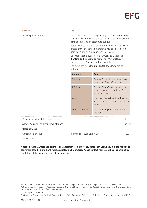

Service **Feedback** 

Unarranged overdraft Unarranged overdrafts are generally not permitted by EFG Private Bank Limited, but the bank may in its sole discretion consider allowing an account to overrun.

> Reference rate + 8.00% charged on the overrun balance in excess of the authorised overdraft limit, calculated on a daily basis and applied quarterly in arrears.

Our rate sheet is available on our website, under the 'Banking and Treasury' section: https://www.efgl.com/ Our-solutions/Products-and-services.html

The reference rates for *unarranged* overdrafts are as

| follows:        |                                    |
|-----------------|------------------------------------|
| <b>Currency</b> | Rate                               |
| <b>Sterling</b> | Bank of England base rate (subject |

|                       |                  | to a floor of zero%) + $0.50\%$                                                     |  |
|-----------------------|------------------|-------------------------------------------------------------------------------------|--|
|                       | US dollar        | Federal Funds Target rate (upper<br>bound & subject to a floor of<br>zero%) + 0.25% |  |
|                       | Euro             | European Central Bank Refinancing<br>Rate (subject to a floor of zero%) +<br>1.00%  |  |
|                       | Other currencies | An underlying rate nominated by<br>the Bank                                         |  |
| due to lack of funds  |                  | No fee                                                                              |  |
| despite lack of funds |                  | No fee                                                                              |  |
|                       |                  |                                                                                     |  |

| Cancelling a cheque | (Service only available in GBP) |  |
|---------------------|---------------------------------|--|
| - Banker's draft    |                                 |  |

\*Please note that where the payment or transaction is in a currency other than Sterling (GBP), the fee will be converted based on interbank rates as quoted on Bloomberg. Please contact your Client Relationship Officer for details of the fee at the current exchange rate.

EFG Private Bank Limited is authorised by the Prudential Regulation Authority and regulated by the Financial Conduct Authority and the Prudential Regulation Authority (Financial Services Register No: 144036). It is a member of the London Stock Exchange and a subsidiary of EFG International.

EFG Private Bank Limited. Registered in England and Wales | Company No. 2321802 | Registered Office: Leconfield House, Curzon Street, London W1J 5JB.

Refusing a payment Allowing a payment

Other services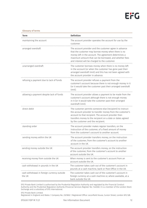#### Glossary of terms

| <b>Term</b>                                           | <b>Definition</b>                                                                                                                                                                                                                                                                   |
|-------------------------------------------------------|-------------------------------------------------------------------------------------------------------------------------------------------------------------------------------------------------------------------------------------------------------------------------------------|
| maintaining the account                               | The account provider operates the account for use by the<br>customer.                                                                                                                                                                                                               |
| arranged overdraft                                    | The account provider and the customer agree in advance<br>that the customer may borrow money when there is no<br>money left in the account. The agreement determines a<br>maximum amount that can be borrowed, and whether fees<br>and interest will be charged to the customer.    |
| unarranged overdraft                                  | The customer borrows money when there is no money left<br>in the account (or when the customer has gone past their<br>arranged overdraft limit) and this has not been agreed with<br>the account provider in advance.                                                               |
| refusing a payment due to lack of funds               | The account provider refuses a payment from the<br>customer's account because there is not enough money in it<br>(or it would take the customer past their arranged overdraft<br>limit).                                                                                            |
| allowing a payment despite lack of funds              | The account provider allows a payment to be made from the<br>customer's account although there is not enough money<br>in it (or it would take the customer past their arranged<br>overdraft limit)                                                                                  |
| direct debit                                          | The customer permits someone else (recipient) to instruct<br>the account provider to transfer money from the customer's<br>account to that recipient. The account provider then<br>transfers money to the recipient on a date or dates agreed<br>by the customer and the recipient. |
| standing order                                        | The account provider makes regular transfers, on the<br>instruction of the customer, of a fixed amount of money<br>from the customer's account to another account.                                                                                                                  |
| sending money within the UK                           | The account provider transfers money, on the instruction<br>of the customer, from the customer's account to another<br>account in the UK.                                                                                                                                           |
| sending money outside the UK                          | The account provider transfers money, on the instruction<br>of the customer, from the customer's account to another<br>account outside the UK.                                                                                                                                      |
| receiving money from outside the UK                   | When money is sent to the customer's account from an<br>account outside the UK.                                                                                                                                                                                                     |
| cash withdrawal in pounds in the UK                   | The customer takes cash out of the customer's account in<br>pounds at a cash machine, bank or Post Office in the UK.                                                                                                                                                                |
| cash withdrawal in foreign currency outside<br>the UK | The customer takes cash out of the customer's account in<br>foreign currency at a cash machine or, where available, at a<br>bank outside the UK.                                                                                                                                    |

EFG Private Bank Limited is authorised by the Prudential Regulation Authority and regulated by the Financial Conduct Authority and the Prudential Regulation Authority (Financial Services Register No: 144036). It is a member of the London Stock Exchange and a subsidiary of EFG International.